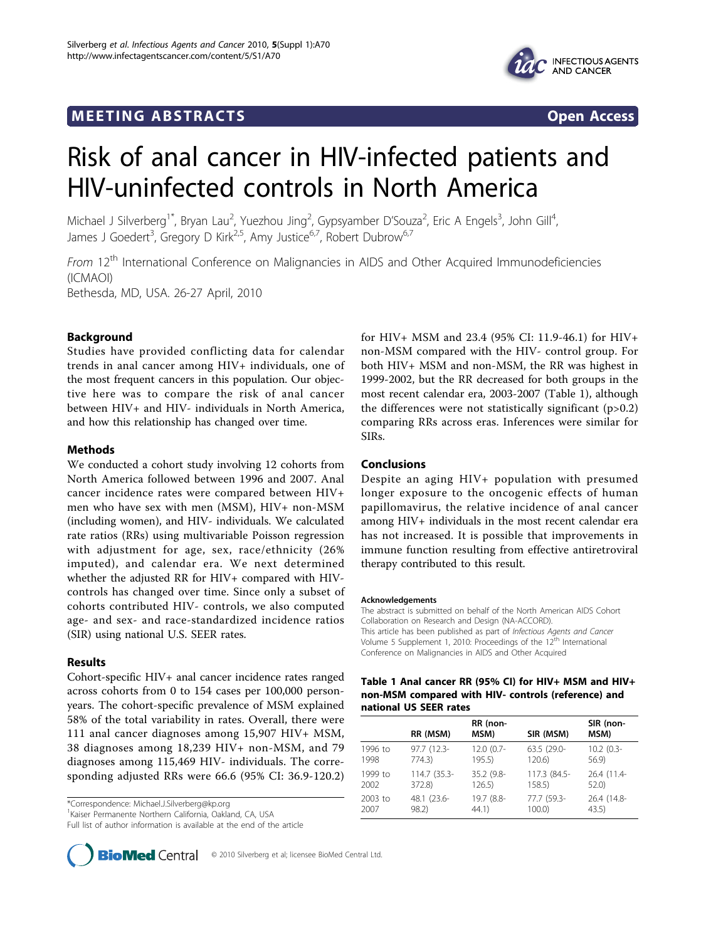## **MEETING ABSTRACTS CONSUMING ABSTRACTS**





# Risk of anal cancer in HIV-infected patients and HIV-uninfected controls in North America

Michael J Silverberg<sup>1\*</sup>, Bryan Lau<sup>2</sup>, Yuezhou Jing<sup>2</sup>, Gypsyamber D'Souza<sup>2</sup>, Eric A Engels<sup>3</sup>, John Gill<sup>4</sup> , James J Goedert<sup>3</sup>, Gregory D Kirk<sup>2,5</sup>, Amy Justice<sup>6,7</sup>, Robert Dubrow<sup>6,7</sup>

From 12<sup>th</sup> International Conference on Malignancies in AIDS and Other Acquired Immunodeficiencies (ICMAOI) Bethesda, MD, USA. 26-27 April, 2010

## Background

Studies have provided conflicting data for calendar trends in anal cancer among HIV+ individuals, one of the most frequent cancers in this population. Our objective here was to compare the risk of anal cancer between HIV+ and HIV- individuals in North America, and how this relationship has changed over time.

## Methods

We conducted a cohort study involving 12 cohorts from North America followed between 1996 and 2007. Anal cancer incidence rates were compared between HIV+ men who have sex with men (MSM), HIV+ non-MSM (including women), and HIV- individuals. We calculated rate ratios (RRs) using multivariable Poisson regression with adjustment for age, sex, race/ethnicity (26% imputed), and calendar era. We next determined whether the adjusted RR for HIV+ compared with HIVcontrols has changed over time. Since only a subset of cohorts contributed HIV- controls, we also computed age- and sex- and race-standardized incidence ratios (SIR) using national U.S. SEER rates.

## Results

Cohort-specific HIV+ anal cancer incidence rates ranged across cohorts from 0 to 154 cases per 100,000 personyears. The cohort-specific prevalence of MSM explained 58% of the total variability in rates. Overall, there were 111 anal cancer diagnoses among 15,907 HIV+ MSM, 38 diagnoses among 18,239 HIV+ non-MSM, and 79 diagnoses among 115,469 HIV- individuals. The corresponding adjusted RRs were 66.6 (95% CI: 36.9-120.2)

\*Correspondence: [Michael.J.Silverberg@kp.org](mailto:Michael.J.Silverberg@kp.org)

1 Kaiser Permanente Northern California, Oakland, CA, USA

Full list of author information is available at the end of the article

for HIV+ MSM and 23.4 (95% CI: 11.9-46.1) for HIV+ non-MSM compared with the HIV- control group. For both HIV+ MSM and non-MSM, the RR was highest in 1999-2002, but the RR decreased for both groups in the most recent calendar era, 2003-2007 (Table 1), although the differences were not statistically significant  $(p>0.2)$ comparing RRs across eras. Inferences were similar for SIRs.

## Conclusions

Despite an aging HIV+ population with presumed longer exposure to the oncogenic effects of human papillomavirus, the relative incidence of anal cancer among HIV+ individuals in the most recent calendar era has not increased. It is possible that improvements in immune function resulting from effective antiretroviral therapy contributed to this result.

#### Acknowledgements

The abstract is submitted on behalf of the North American AIDS Cohort Collaboration on Research and Design (NA-ACCORD). This article has been published as part of Infectious Agents and Cancer Volume 5 Supplement 1, 2010: Proceedings of the 12<sup>th</sup> International Conference on Malignancies in AIDS and Other Acquired

## Table 1 Anal cancer RR (95% CI) for HIV+ MSM and HIV+ non-MSM compared with HIV- controls (reference) and national US SEER rates

|         | RR (MSM)     | RR (non-<br>MSM) | SIR (MSM)    | SIR (non-<br>MSM) |
|---------|--------------|------------------|--------------|-------------------|
| 1996 to | 97.7 (12.3-  | 12.0 (0.7-       | 63.5 (29.0-  | $10.2$ (0.3-      |
| 1998    | 774.3        | 195.5)           | $120.6$ )    | 56.9              |
| 1999 to | 114.7 (35.3- | 35.2 (9.8-       | 117.3 (84.5- | 26.4 (11.4-       |
| 2002    | 372.8)       | 126.5            | 158.5        | 52.0              |
| 2003 to | 48.1 (23.6-  | 19.7 (8.8-       | 77.7 (59.3-  | 26.4 (14.8-       |
| 2007    | 98.2)        | 44.1)            | $100.0$ )    | 43.5)             |